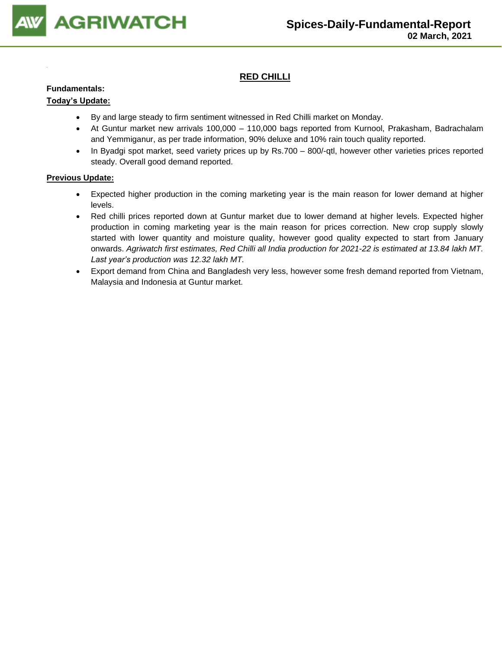

### **RED CHILLI**

#### **Fundamentals:**

#### **Today's Update:**

- By and large steady to firm sentiment witnessed in Red Chilli market on Monday.
- At Guntur market new arrivals 100,000 110,000 bags reported from Kurnool, Prakasham, Badrachalam and Yemmiganur, as per trade information, 90% deluxe and 10% rain touch quality reported.
- In Byadgi spot market, seed variety prices up by Rs.700 800/-qtl, however other varieties prices reported steady. Overall good demand reported.

- Expected higher production in the coming marketing year is the main reason for lower demand at higher levels.
- Red chilli prices reported down at Guntur market due to lower demand at higher levels. Expected higher production in coming marketing year is the main reason for prices correction. New crop supply slowly started with lower quantity and moisture quality, however good quality expected to start from January onwards. *Agriwatch first estimates, Red Chilli all India production for 2021-22 is estimated at 13.84 lakh MT. Last year's production was 12.32 lakh MT.*
- Export demand from China and Bangladesh very less, however some fresh demand reported from Vietnam, Malaysia and Indonesia at Guntur market.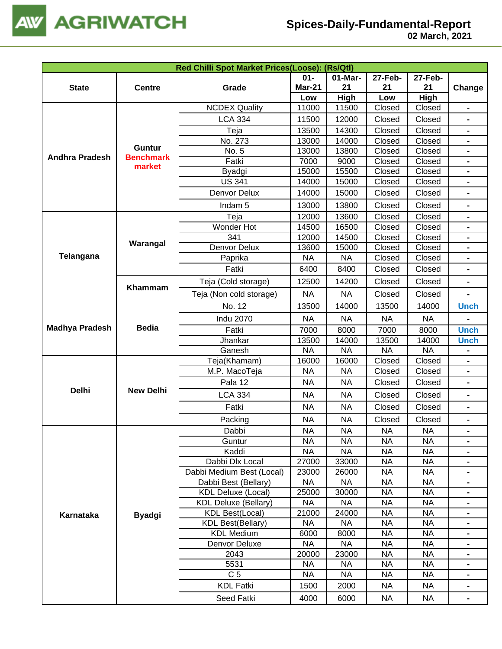

|                       |                            |                             |               |             | Red Chilli Spot Market Prices(Loose): (Rs/Qtl) |           |                              |  |  |  |  |  |
|-----------------------|----------------------------|-----------------------------|---------------|-------------|------------------------------------------------|-----------|------------------------------|--|--|--|--|--|
|                       |                            |                             | $01 -$        | 01-Mar-     | 27-Feb-                                        | 27-Feb-   |                              |  |  |  |  |  |
| <b>State</b>          | <b>Centre</b>              | Grade                       | <b>Mar-21</b> | 21          | 21                                             | 21        | Change                       |  |  |  |  |  |
|                       |                            |                             | Low           | <b>High</b> | Low                                            | High      |                              |  |  |  |  |  |
|                       |                            | <b>NCDEX Quality</b>        | 11000         | 11500       | Closed                                         | Closed    | $\blacksquare$               |  |  |  |  |  |
|                       |                            | <b>LCA 334</b>              | 11500         | 12000       | Closed                                         | Closed    |                              |  |  |  |  |  |
|                       |                            | Teja                        | 13500         | 14300       | Closed                                         | Closed    | $\blacksquare$               |  |  |  |  |  |
|                       |                            | No. 273                     | 13000         | 14000       | Closed                                         | Closed    | $\blacksquare$               |  |  |  |  |  |
|                       | <b>Guntur</b>              | No. 5                       | 13000         | 13800       | Closed                                         | Closed    | $\blacksquare$               |  |  |  |  |  |
| <b>Andhra Pradesh</b> | <b>Benchmark</b><br>market | Fatki                       | 7000          | 9000        | Closed                                         | Closed    | $\qquad \qquad \blacksquare$ |  |  |  |  |  |
|                       |                            | Byadgi                      | 15000         | 15500       | Closed                                         | Closed    | $\blacksquare$               |  |  |  |  |  |
|                       |                            | <b>US 341</b>               | 14000         | 15000       | Closed                                         | Closed    |                              |  |  |  |  |  |
|                       |                            | Denvor Delux                | 14000         | 15000       | Closed                                         | Closed    |                              |  |  |  |  |  |
|                       |                            | Indam <sub>5</sub>          | 13000         | 13800       | Closed                                         | Closed    | $\blacksquare$               |  |  |  |  |  |
|                       |                            | Teja                        | 12000         | 13600       | Closed                                         | Closed    |                              |  |  |  |  |  |
|                       |                            | Wonder Hot                  | 14500         | 16500       | Closed                                         | Closed    | $\blacksquare$               |  |  |  |  |  |
|                       |                            | 341                         | 12000         | 14500       | Closed                                         | Closed    | $\blacksquare$               |  |  |  |  |  |
|                       | Warangal                   | Denvor Delux                | 13600         | 15000       | Closed                                         | Closed    |                              |  |  |  |  |  |
| <b>Telangana</b>      |                            | Paprika                     | <b>NA</b>     | <b>NA</b>   | Closed                                         | Closed    |                              |  |  |  |  |  |
|                       |                            | Fatki                       | 6400          | 8400        | Closed                                         | Closed    | $\blacksquare$               |  |  |  |  |  |
|                       | Khammam                    | Teja (Cold storage)         | 12500         | 14200       | Closed                                         | Closed    | $\blacksquare$               |  |  |  |  |  |
|                       |                            | Teja (Non cold storage)     | <b>NA</b>     | <b>NA</b>   | Closed                                         | Closed    | $\blacksquare$               |  |  |  |  |  |
|                       |                            | No. 12                      | 13500         | 14000       | 13500                                          | 14000     | <b>Unch</b>                  |  |  |  |  |  |
|                       |                            | <b>Indu 2070</b>            | <b>NA</b>     | <b>NA</b>   | <b>NA</b>                                      | <b>NA</b> |                              |  |  |  |  |  |
| <b>Madhya Pradesh</b> | <b>Bedia</b>               | Fatki                       | 7000          | 8000        | 7000                                           | 8000      | <b>Unch</b>                  |  |  |  |  |  |
|                       |                            | Jhankar                     | 13500         | 14000       | 13500                                          | 14000     | <b>Unch</b>                  |  |  |  |  |  |
|                       |                            | Ganesh                      | <b>NA</b>     | <b>NA</b>   | <b>NA</b>                                      | <b>NA</b> |                              |  |  |  |  |  |
|                       |                            | Teja(Khamam)                | 16000         | 16000       | Closed                                         | Closed    |                              |  |  |  |  |  |
|                       |                            | M.P. MacoTeja               | <b>NA</b>     | <b>NA</b>   | Closed                                         | Closed    |                              |  |  |  |  |  |
|                       |                            | Pala 12                     | <b>NA</b>     | <b>NA</b>   | Closed                                         | Closed    | $\qquad \qquad \blacksquare$ |  |  |  |  |  |
| <b>Delhi</b>          | <b>New Delhi</b>           | <b>LCA 334</b>              | <b>NA</b>     | <b>NA</b>   | Closed                                         | Closed    | $\blacksquare$               |  |  |  |  |  |
|                       |                            | Fatki                       | <b>NA</b>     | <b>NA</b>   | Closed                                         | Closed    | $\blacksquare$               |  |  |  |  |  |
|                       |                            | Packing                     | <b>NA</b>     | <b>NA</b>   | Closed                                         | Closed    |                              |  |  |  |  |  |
|                       |                            | Dabbi                       | <b>NA</b>     | <b>NA</b>   | <b>NA</b>                                      | <b>NA</b> | $\blacksquare$               |  |  |  |  |  |
|                       |                            | Guntur                      | <b>NA</b>     | <b>NA</b>   | <b>NA</b>                                      | <b>NA</b> | $\blacksquare$               |  |  |  |  |  |
|                       |                            | Kaddi                       | <b>NA</b>     | <b>NA</b>   | <b>NA</b>                                      | <b>NA</b> | $\blacksquare$               |  |  |  |  |  |
|                       |                            | Dabbi Dlx Local             | 27000         | 33000       | <b>NA</b>                                      | <b>NA</b> |                              |  |  |  |  |  |
|                       |                            | Dabbi Medium Best (Local)   | 23000         | 26000       | <b>NA</b>                                      | <b>NA</b> |                              |  |  |  |  |  |
|                       |                            | Dabbi Best (Bellary)        | <b>NA</b>     | <b>NA</b>   | <b>NA</b>                                      | <b>NA</b> | $\blacksquare$               |  |  |  |  |  |
|                       |                            | <b>KDL Deluxe (Local)</b>   | 25000         | 30000       | <b>NA</b>                                      | <b>NA</b> | $\blacksquare$               |  |  |  |  |  |
|                       |                            | <b>KDL Deluxe (Bellary)</b> | <b>NA</b>     | <b>NA</b>   | <b>NA</b>                                      | <b>NA</b> |                              |  |  |  |  |  |
| Karnataka             | <b>Byadgi</b>              | <b>KDL Best(Local)</b>      | 21000         | 24000       | <b>NA</b>                                      | <b>NA</b> |                              |  |  |  |  |  |
|                       |                            | <b>KDL Best(Bellary)</b>    | <b>NA</b>     | <b>NA</b>   | <b>NA</b>                                      | <b>NA</b> |                              |  |  |  |  |  |
|                       |                            | <b>KDL Medium</b>           | 6000          | 8000        | <b>NA</b>                                      | <b>NA</b> |                              |  |  |  |  |  |
|                       |                            | Denvor Deluxe               | <b>NA</b>     | <b>NA</b>   | <b>NA</b>                                      | <b>NA</b> |                              |  |  |  |  |  |
|                       |                            | 2043                        | 20000         | 23000       | <b>NA</b>                                      | <b>NA</b> | $\blacksquare$               |  |  |  |  |  |
|                       |                            | 5531                        | <b>NA</b>     | <b>NA</b>   | <b>NA</b>                                      | <b>NA</b> | $\blacksquare$               |  |  |  |  |  |
|                       |                            | C <sub>5</sub>              | <b>NA</b>     | <b>NA</b>   | <b>NA</b>                                      | <b>NA</b> |                              |  |  |  |  |  |
|                       |                            | <b>KDL Fatki</b>            | 1500          | 2000        | <b>NA</b>                                      | <b>NA</b> |                              |  |  |  |  |  |
|                       |                            | Seed Fatki                  | 4000          | 6000        | <b>NA</b>                                      | <b>NA</b> | $\blacksquare$               |  |  |  |  |  |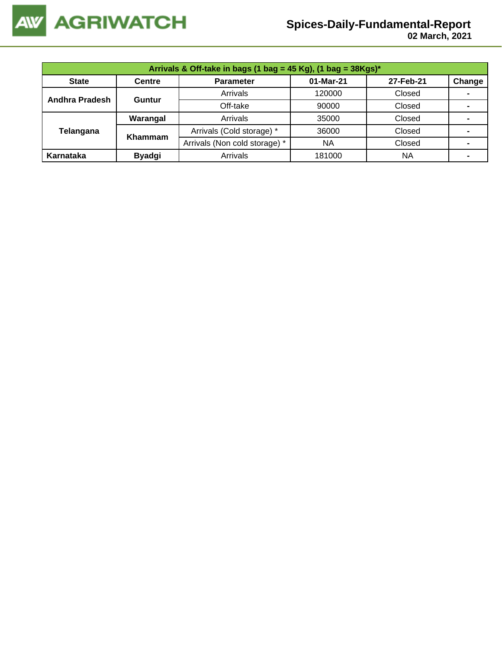

 **02 March, 2021**

| Arrivals & Off-take in bags (1 bag = 45 Kg), (1 bag = 38Kgs)* |                |                               |                                                                                                                      |           |                |  |  |  |
|---------------------------------------------------------------|----------------|-------------------------------|----------------------------------------------------------------------------------------------------------------------|-----------|----------------|--|--|--|
| <b>State</b>                                                  | <b>Centre</b>  | <b>Parameter</b>              | 01-Mar-21<br>27-Feb-21<br>Arrivals<br>Closed<br>120000<br>Off-take<br>Closed<br>90000<br>Arrivals<br>35000<br>Closed |           | Change         |  |  |  |
| Andhra Pradesh                                                | Guntur         |                               |                                                                                                                      |           |                |  |  |  |
|                                                               |                |                               |                                                                                                                      |           |                |  |  |  |
|                                                               | Warangal       |                               |                                                                                                                      |           |                |  |  |  |
| Telangana                                                     | <b>Khammam</b> | Arrivals (Cold storage) *     | 36000                                                                                                                | Closed    | $\blacksquare$ |  |  |  |
|                                                               |                | Arrivals (Non cold storage) * | <b>NA</b>                                                                                                            | Closed    |                |  |  |  |
| Karnataka                                                     | <b>Byadgi</b>  | Arrivals                      | 181000                                                                                                               | <b>NA</b> |                |  |  |  |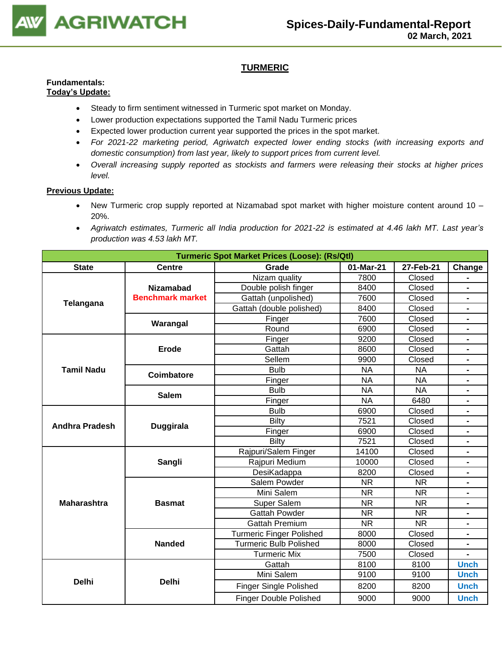

### **TURMERIC**

#### **Fundamentals: Today's Update:**

- Steady to firm sentiment witnessed in Turmeric spot market on Monday.
- Lower production expectations supported the Tamil Nadu Turmeric prices
- Expected lower production current year supported the prices in the spot market.
- *For 2021-22 marketing period, Agriwatch expected lower ending stocks (with increasing exports and domestic consumption) from last year, likely to support prices from current level.*
- *Overall increasing supply reported as stockists and farmers were releasing their stocks at higher prices level.*

- New Turmeric crop supply reported at Nizamabad spot market with higher moisture content around 10 20%.
- *Agriwatch estimates, Turmeric all India production for 2021-22 is estimated at 4.46 lakh MT. Last year's production was 4.53 lakh MT.*

| <b>Turmeric Spot Market Prices (Loose): (Rs/Qtl)</b> |                         |                                 |           |           |                              |  |
|------------------------------------------------------|-------------------------|---------------------------------|-----------|-----------|------------------------------|--|
| <b>State</b>                                         | <b>Centre</b>           | Grade<br>01-Mar-21              |           | 27-Feb-21 | Change                       |  |
|                                                      |                         | Nizam quality                   | 7800      | Closed    |                              |  |
|                                                      | <b>Nizamabad</b>        | Double polish finger            | 8400      | Closed    |                              |  |
|                                                      | <b>Benchmark market</b> | Gattah (unpolished)             | 7600      | Closed    | $\blacksquare$               |  |
| Telangana                                            |                         | Gattah (double polished)        | 8400      | Closed    |                              |  |
|                                                      | Warangal                | Finger                          | 7600      | Closed    | $\blacksquare$               |  |
|                                                      |                         | Round                           | 6900      | Closed    | $\blacksquare$               |  |
|                                                      |                         | Finger                          | 9200      | Closed    |                              |  |
|                                                      | <b>Erode</b>            | Gattah                          | 8600      | Closed    |                              |  |
|                                                      |                         | Sellem                          | 9900      | Closed    | $\blacksquare$               |  |
| <b>Tamil Nadu</b>                                    | <b>Coimbatore</b>       | <b>Bulb</b>                     | <b>NA</b> | <b>NA</b> |                              |  |
|                                                      |                         | Finger                          | <b>NA</b> | <b>NA</b> |                              |  |
|                                                      | <b>Salem</b>            | <b>Bulb</b>                     | <b>NA</b> | <b>NA</b> | $\blacksquare$               |  |
|                                                      |                         | Finger                          | <b>NA</b> | 6480      | $\blacksquare$               |  |
| <b>Andhra Pradesh</b>                                |                         | <b>Bulb</b>                     | 6900      | Closed    |                              |  |
|                                                      | <b>Duggirala</b>        | <b>Bilty</b>                    | 7521      | Closed    |                              |  |
|                                                      |                         | Finger                          | 6900      | Closed    | $\blacksquare$               |  |
|                                                      |                         | <b>Bilty</b>                    | 7521      | Closed    |                              |  |
|                                                      |                         | Rajpuri/Salem Finger            | 14100     | Closed    | $\blacksquare$               |  |
|                                                      | Sangli                  | Rajpuri Medium                  | 10000     | Closed    | $\qquad \qquad \blacksquare$ |  |
|                                                      |                         | DesiKadappa                     | 8200      | Closed    | $\blacksquare$               |  |
|                                                      |                         | Salem Powder                    | <b>NR</b> | <b>NR</b> |                              |  |
|                                                      |                         | Mini Salem                      | <b>NR</b> | <b>NR</b> | $\blacksquare$               |  |
| <b>Maharashtra</b>                                   | <b>Basmat</b>           | Super Salem                     | <b>NR</b> | <b>NR</b> |                              |  |
|                                                      |                         | <b>Gattah Powder</b>            | <b>NR</b> | <b>NR</b> |                              |  |
|                                                      |                         | <b>Gattah Premium</b>           | <b>NR</b> | <b>NR</b> | $\blacksquare$               |  |
|                                                      |                         | <b>Turmeric Finger Polished</b> | 8000      | Closed    | $\blacksquare$               |  |
|                                                      | <b>Nanded</b>           | <b>Turmeric Bulb Polished</b>   | 8000      | Closed    |                              |  |
|                                                      |                         | <b>Turmeric Mix</b>             | 7500      | Closed    |                              |  |
|                                                      |                         | Gattah                          | 8100      | 8100      | <b>Unch</b>                  |  |
|                                                      |                         | Mini Salem                      | 9100      | 9100      | <b>Unch</b>                  |  |
| <b>Delhi</b>                                         | <b>Delhi</b>            | Finger Single Polished          | 8200      | 8200      | <b>Unch</b>                  |  |
|                                                      |                         | <b>Finger Double Polished</b>   | 9000      | 9000      | <b>Unch</b>                  |  |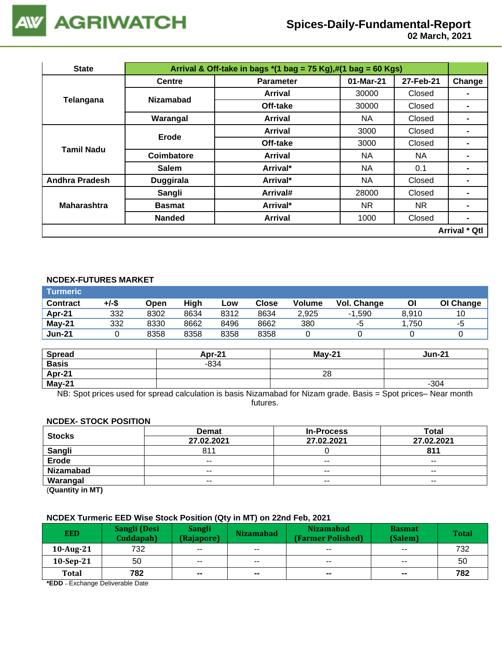

 **02 March, 2021**

| <b>State</b>          | Arrival & Off-take in bags $*(1 \text{ bag} = 75 \text{ Kg}),\#(1 \text{ bag} = 60 \text{ Kg})$ |                  |           |           |                      |  |  |
|-----------------------|-------------------------------------------------------------------------------------------------|------------------|-----------|-----------|----------------------|--|--|
|                       | <b>Centre</b>                                                                                   | <b>Parameter</b> | 01-Mar-21 | 27-Feb-21 | Change               |  |  |
| Telangana             | <b>Nizamabad</b>                                                                                | Arrival          | 30000     | Closed    | $\blacksquare$       |  |  |
|                       |                                                                                                 | Off-take         | 30000     | Closed    |                      |  |  |
|                       | Warangal                                                                                        | <b>Arrival</b>   | NA.       | Closed    |                      |  |  |
| <b>Tamil Nadu</b>     | <b>Erode</b>                                                                                    | Arrival          | 3000      | Closed    |                      |  |  |
|                       |                                                                                                 | Off-take         | 3000      | Closed    | -                    |  |  |
|                       | Coimbatore                                                                                      | <b>Arrival</b>   | NA.       | NA.       |                      |  |  |
|                       | <b>Salem</b>                                                                                    | Arrival*         | NA        | 0.1       |                      |  |  |
| <b>Andhra Pradesh</b> | <b>Duggirala</b>                                                                                | Arrival*         | NA.       | Closed    | $\blacksquare$       |  |  |
|                       | Sangli                                                                                          | Arrival#         | 28000     | Closed    |                      |  |  |
| <b>Maharashtra</b>    | <b>Basmat</b>                                                                                   | Arrival*         | NR.       | NR.       |                      |  |  |
|                       | <b>Nanded</b>                                                                                   | <b>Arrival</b>   | 1000      | Closed    | $\blacksquare$       |  |  |
|                       |                                                                                                 |                  |           |           | <b>Arrival * Qtl</b> |  |  |

#### **NCDEX-FUTURES MARKET**

| <b>Turmeric</b> |       |      |      |      |       |               |             |       |           |
|-----------------|-------|------|------|------|-------|---------------|-------------|-------|-----------|
| <b>Contract</b> | +/-\$ | Open | High | Low  | Close | <b>Volume</b> | Vol. Change | ΟI    | OI Change |
| Apr-21          | 332   | 8302 | 8634 | 8312 | 8634  | 2.925         | $-1.590$    | 8.910 |           |
| <b>May-21</b>   | 332   | 8330 | 8662 | 8496 | 8662  | 380           | -5          | .750  | -5        |
| <b>Jun-21</b>   |       | 8358 | 8358 | 8358 | 8358  |               |             |       |           |

| <b>Spread</b> | Apr-21 | <b>May-21</b> | <b>Jun-21</b> |
|---------------|--------|---------------|---------------|
| <b>Basis</b>  | $-834$ |               |               |
| Apr-21        |        | 28            |               |
| May-21        |        |               | $-304$        |

NB: Spot prices used for spread calculation is basis Nizamabad for Nizam grade. Basis = Spot prices– Near month futures.

#### **NCDEX- STOCK POSITION**

| <b>Stocks</b>                                  | <b>Demat</b>             | <b>In-Process</b> | Total         |
|------------------------------------------------|--------------------------|-------------------|---------------|
|                                                | 27.02.2021               | 27.02.2021        | 27.02.2021    |
| Sangli                                         | 811                      |                   | 811           |
| <b>Erode</b>                                   | $\overline{\phantom{a}}$ | $\sim$ $\sim$     | $- -$         |
| Nizamabad                                      | $- -$                    | $\sim$ $\sim$     | $\sim$ $\sim$ |
| Warangal                                       | $- -$                    | $- -$             | $- -$         |
| $\mathbf{A}$ and $\mathbf{A}$ and $\mathbf{A}$ |                          |                   |               |

(**Quantity in MT)**

#### **NCDEX Turmeric EED Wise Stock Position (Qty in MT) on 22nd Feb, 2021**

| <b>EED</b>   | Sangli (Desi<br>Cuddapah) | <b>Sangli</b><br>(Rajapore) | <b>Nizamabad</b>         | <b>Nizamabad</b><br>(Farmer Polished) | <b>Basmat</b><br>(Salem) | <b>Total</b> |
|--------------|---------------------------|-----------------------------|--------------------------|---------------------------------------|--------------------------|--------------|
| 10-Aug-21    | 732                       | $\sim$ $\sim$               | $\overline{\phantom{a}}$ | $\sim$ $\sim$                         | $\overline{\phantom{a}}$ | 732          |
| $10-Sep-21$  | 50                        | $\overline{\phantom{m}}$    | $\overline{\phantom{a}}$ | $\overline{\phantom{a}}$              | $\sim$ $\sim$            | 50           |
| <b>Total</b> | 782                       | $\sim$                      | $\mathbf{m}$             | $\sim$                                | $\sim$                   | 782          |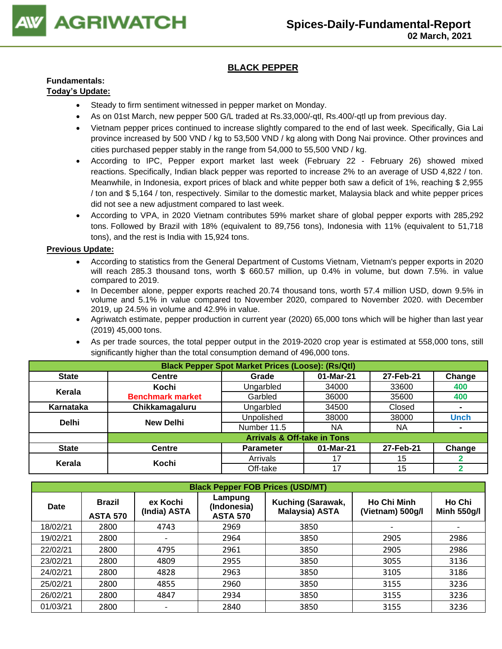

### **BLACK PEPPER**

#### **Fundamentals: Today's Update:**

- Steady to firm sentiment witnessed in pepper market on Monday.
- As on 01st March, new pepper 500 G/L traded at Rs.33,000/-qtl, Rs.400/-qtl up from previous day.
- Vietnam [pepper prices c](https://translate.google.com/website?sl=vi&tl=en&u=https://vietnambiz.vn/gia-tieu-hom-nay.html)ontinued to increase slightly compared to the end of last week. Specifically, Gia Lai province increased by 500 VND / kg to 53,500 VND / kg along with Dong Nai province. Other provinces and cities purchased pepper stably in the range from 54,000 to 55,500 VND / kg.
- According to IPC, Pepper export market last week (February 22 February 26) showed mixed reactions. Specifically, Indian black pepper was reported to increase 2% to an average of USD 4,822 / ton. Meanwhile, in Indonesia, export prices of black and white pepper both saw a deficit of 1%, reaching \$ 2,955 / ton and \$ 5,164 / ton, respectively. Similar to the domestic market, Malaysia black and white pepper prices did not see a new adjustment compared to last week.
- According to VPA, in 2020 Vietnam contributes 59% market share of global pepper exports with 285,292 tons. Followed by Brazil with 18% (equivalent to 89,756 tons), Indonesia with 11% (equivalent to 51,718 tons), and the rest is India with 15,924 tons.

- According to statistics from the General Department of Customs Vietnam, Vietnam's pepper exports in 2020 will reach 285.3 thousand tons, worth \$ 660.57 million, up 0.4% in volume, but down 7.5%. in value compared to 2019.
- In December alone, pepper exports reached 20.74 thousand tons, worth 57.4 million USD, down 9.5% in volume and 5.1% in value compared to November 2020, compared to November 2020. with December 2019, up 24.5% in volume and 42.9% in value.
- Agriwatch estimate, pepper production in current year (2020) 65,000 tons which will be higher than last year (2019) 45,000 tons.
- As per trade sources, the total pepper output in the 2019-2020 crop year is estimated at 558,000 tons, still significantly higher than the total consumption demand of 496,000 tons.

|              | <b>Black Pepper Spot Market Prices (Loose): (Rs/Qtl)</b> |                                        |           |           |                |  |  |  |  |
|--------------|----------------------------------------------------------|----------------------------------------|-----------|-----------|----------------|--|--|--|--|
| <b>State</b> | <b>Centre</b>                                            | Grade                                  | 01-Mar-21 | 27-Feb-21 | Change         |  |  |  |  |
| Kerala       | Kochi                                                    | Ungarbled                              | 34000     | 33600     | 400            |  |  |  |  |
|              | <b>Benchmark market</b>                                  | Garbled                                | 36000     | 35600     | 400            |  |  |  |  |
| Karnataka    | Chikkamagaluru                                           | Ungarbled                              | 34500     | Closed    | $\blacksquare$ |  |  |  |  |
| <b>Delhi</b> | <b>New Delhi</b>                                         | Unpolished                             | 38000     | 38000     | <b>Unch</b>    |  |  |  |  |
|              |                                                          | Number 11.5                            | ΝA        | ΝA        | $\blacksquare$ |  |  |  |  |
|              |                                                          | <b>Arrivals &amp; Off-take in Tons</b> |           |           |                |  |  |  |  |
| <b>State</b> | <b>Centre</b>                                            | <b>Parameter</b>                       | 01-Mar-21 | 27-Feb-21 | Change         |  |  |  |  |
| Kerala       | Kochi                                                    | Arrivals                               | 17        | 15        |                |  |  |  |  |
|              |                                                          | Off-take                               | 17        | 15        |                |  |  |  |  |

|             | <b>Black Pepper FOB Prices (USD/MT)</b>                      |      |                                                                                         |      |                                        |                              |  |  |  |  |
|-------------|--------------------------------------------------------------|------|-----------------------------------------------------------------------------------------|------|----------------------------------------|------------------------------|--|--|--|--|
| <b>Date</b> | <b>Brazil</b><br>ex Kochi<br>(India) ASTA<br><b>ASTA 570</b> |      | Lampung<br>Kuching (Sarawak,<br>(Indonesia)<br><b>Malaysia) ASTA</b><br><b>ASTA 570</b> |      | <b>Ho Chi Minh</b><br>(Vietnam) 500g/l | Ho Chi<br><b>Minh 550g/l</b> |  |  |  |  |
| 18/02/21    | 2800                                                         | 4743 | 2969                                                                                    | 3850 |                                        |                              |  |  |  |  |
| 19/02/21    | 2800                                                         | -    | 2964                                                                                    | 3850 | 2905                                   | 2986                         |  |  |  |  |
| 22/02/21    | 2800                                                         | 4795 | 2961                                                                                    | 3850 | 2905                                   | 2986                         |  |  |  |  |
| 23/02/21    | 2800                                                         | 4809 | 2955                                                                                    | 3850 | 3055                                   | 3136                         |  |  |  |  |
| 24/02/21    | 2800                                                         | 4828 | 2963                                                                                    | 3850 | 3105                                   | 3186                         |  |  |  |  |
| 25/02/21    | 2800                                                         | 4855 | 2960                                                                                    | 3850 | 3155                                   | 3236                         |  |  |  |  |
| 26/02/21    | 2800                                                         | 4847 | 2934                                                                                    | 3850 | 3155                                   | 3236                         |  |  |  |  |
| 01/03/21    | 2800                                                         |      | 2840                                                                                    | 3850 | 3155                                   | 3236                         |  |  |  |  |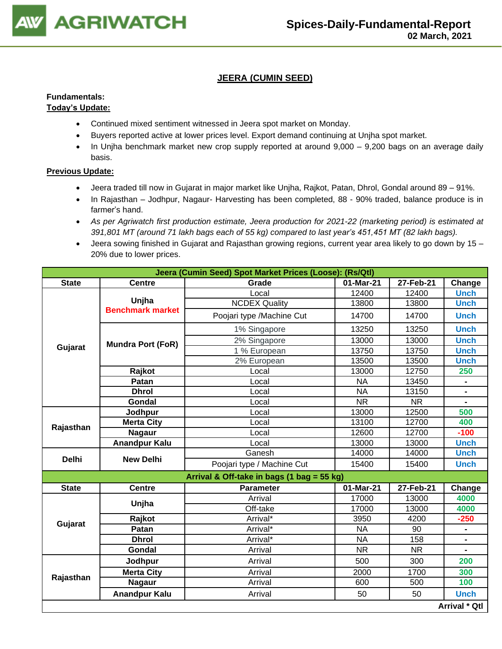

### **JEERA (CUMIN SEED)**

# **Fundamentals:**

### **Today's Update:**

- Continued mixed sentiment witnessed in Jeera spot market on Monday.
- Buyers reported active at lower prices level. Export demand continuing at Unjha spot market.
- In Unjha benchmark market new crop supply reported at around 9,000 9,200 bags on an average daily basis.

- Jeera traded till now in Gujarat in major market like Unjha, Rajkot, Patan, Dhrol, Gondal around 89 91%.
- In Rajasthan Jodhpur, Nagaur- Harvesting has been completed, 88 90% traded, balance produce is in farmer's hand.
- *As per Agriwatch first production estimate, Jeera production for 2021-22 (marketing period) is estimated at 391,801 MT (around 71 lakh bags each of 55 kg) compared to last year's 451,451 MT (82 lakh bags).*
- Jeera sowing finished in Gujarat and Rajasthan growing regions, current year area likely to go down by 15 20% due to lower prices.

|              |                          | Jeera (Cumin Seed) Spot Market Prices (Loose): (Rs/Qtl) |           |           |                      |
|--------------|--------------------------|---------------------------------------------------------|-----------|-----------|----------------------|
| <b>State</b> | <b>Centre</b>            | Grade                                                   | 01-Mar-21 | 27-Feb-21 | Change               |
|              |                          | Local                                                   | 12400     | 12400     | <b>Unch</b>          |
|              | Unjha                    | <b>NCDEX Quality</b>                                    | 13800     | 13800     | <b>Unch</b>          |
|              | <b>Benchmark market</b>  | Poojari type /Machine Cut                               | 14700     | 14700     | <b>Unch</b>          |
|              |                          | 1% Singapore                                            | 13250     | 13250     | <b>Unch</b>          |
|              | <b>Mundra Port (FoR)</b> | 2% Singapore                                            | 13000     | 13000     | <b>Unch</b>          |
| Gujarat      |                          | 1 % European                                            | 13750     | 13750     | <b>Unch</b>          |
|              |                          | 2% European                                             | 13500     | 13500     | <b>Unch</b>          |
|              | Rajkot                   | Local                                                   | 13000     | 12750     | 250                  |
|              | Patan                    | Local                                                   | <b>NA</b> | 13450     |                      |
|              | <b>Dhrol</b>             | Local                                                   | <b>NA</b> | 13150     | $\blacksquare$       |
|              | Gondal                   | Local                                                   | <b>NR</b> | <b>NR</b> |                      |
| Rajasthan    | Jodhpur                  | Local                                                   | 13000     | 12500     | 500                  |
|              | <b>Merta City</b>        | Local                                                   | 13100     | 12700     | 400                  |
|              | <b>Nagaur</b>            | Local                                                   | 12600     | 12700     | $-100$               |
|              | <b>Anandpur Kalu</b>     | Local                                                   | 13000     | 13000     | <b>Unch</b>          |
|              |                          | Ganesh                                                  | 14000     | 14000     | <b>Unch</b>          |
| <b>Delhi</b> | <b>New Delhi</b>         | Poojari type / Machine Cut                              | 15400     | 15400     | <b>Unch</b>          |
|              |                          | Arrival & Off-take in bags (1 bag = 55 kg)              |           |           |                      |
| <b>State</b> | <b>Centre</b>            | <b>Parameter</b>                                        | 01-Mar-21 | 27-Feb-21 | Change               |
|              | Unjha                    | Arrival                                                 | 17000     | 13000     | 4000                 |
|              |                          | Off-take                                                | 17000     | 13000     | 4000                 |
| Gujarat      | Rajkot                   | Arrival*                                                | 3950      | 4200      | $-250$               |
|              | Patan                    | Arrival*                                                | <b>NA</b> | 90        |                      |
|              | <b>Dhrol</b>             | Arrival*                                                | <b>NA</b> | 158       | Ξ.                   |
|              | Gondal                   | Arrival                                                 | <b>NR</b> | <b>NR</b> |                      |
|              | Jodhpur                  | Arrival                                                 | 500       | 300       | 200                  |
| Rajasthan    | <b>Merta City</b>        | Arrival                                                 | 2000      | 1700      | 300                  |
|              | <b>Nagaur</b>            | Arrival                                                 | 600       | 500       | 100                  |
|              | <b>Anandpur Kalu</b>     | Arrival                                                 | 50        | 50        | <b>Unch</b>          |
|              |                          |                                                         |           |           | <b>Arrival * Qtl</b> |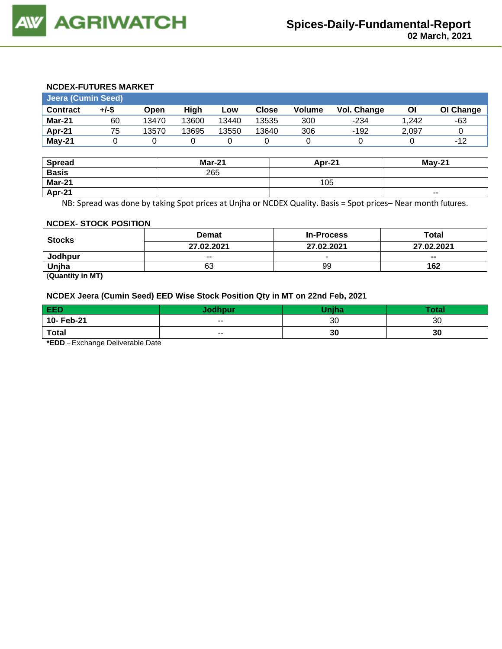#### **NCDEX-FUTURES MARKET**

| Jeera (Cumin Seed) |       |       |       |       |              |               |                    |       |           |
|--------------------|-------|-------|-------|-------|--------------|---------------|--------------------|-------|-----------|
| <b>Contract</b>    | +/-\$ | Open  | Hiah  | Low   | <b>Close</b> | <b>Volume</b> | <b>Vol. Change</b> | ΟI    | OI Change |
| Mar-21             | 60    | 13470 | 13600 | 13440 | 13535        | 300           | $-234$             | 1.242 | -63       |
| Apr-21             | 75    | 13570 | 13695 | 13550 | 13640        | 306           | $-192$             | 2.097 |           |
| $May-21$           |       |       |       |       |              |               |                    |       | $-12$     |

| <b>Spread</b> | <b>Mar-21</b> | Apr-21 | $May-21$ |
|---------------|---------------|--------|----------|
| <b>Basis</b>  | 265           |        |          |
| Mar-21        |               | 105    |          |
| Apr-21        |               |        | $- -$    |

NB: Spread was done by taking Spot prices at Unjha or NCDEX Quality. Basis = Spot prices– Near month futures.

#### **NCDEX- STOCK POSITION**

| <b>Stocks</b>            | <b>Demat</b> | <b>In-Process</b> | Total                    |  |
|--------------------------|--------------|-------------------|--------------------------|--|
|                          | 27.02.2021   | 27.02.2021        | 27.02.2021               |  |
| Jodhpur                  | $- -$        | $\sim$            | $\overline{\phantom{a}}$ |  |
| Uniha                    | 63           | 99                | 162                      |  |
| $\overline{\phantom{a}}$ |              |                   |                          |  |

(**Quantity in MT)**

#### **NCDEX Jeera (Cumin Seed) EED Wise Stock Position Qty in MT on 22nd Feb, 2021**

| EED          | odhpur | <b>Tiniha</b> | <b>Total</b> |
|--------------|--------|---------------|--------------|
| 10- Feb-21   | $- -$  | 30            | 30           |
| <b>Total</b> | $- -$  | 30            | 30           |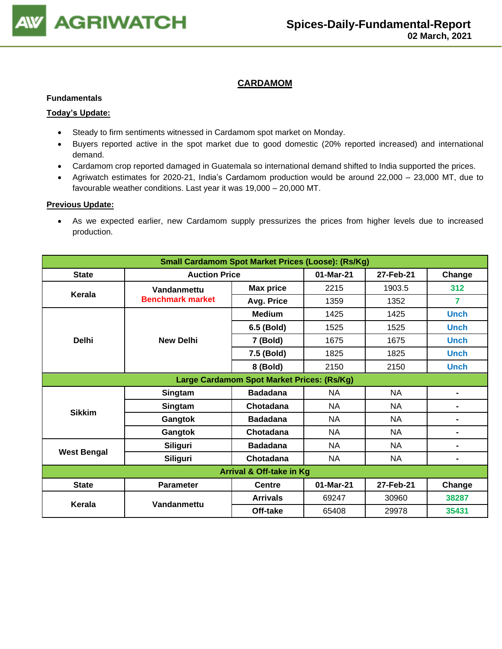

#### **CARDAMOM**

#### **Fundamentals**

#### **Today's Update:**

- Steady to firm sentiments witnessed in Cardamom spot market on Monday.
- Buyers reported active in the spot market due to good domestic (20% reported increased) and international demand.
- Cardamom crop reported damaged in Guatemala so international demand shifted to India supported the prices.
- Agriwatch estimates for 2020-21, India's Cardamom production would be around 22,000 23,000 MT, due to favourable weather conditions. Last year it was 19,000 – 20,000 MT.

#### **Previous Update:**

• As we expected earlier, new Cardamom supply pressurizes the prices from higher levels due to increased production.

| <b>Small Cardamom Spot Market Prices (Loose): (Rs/Kg)</b> |                         |                  |           |           |                |  |  |
|-----------------------------------------------------------|-------------------------|------------------|-----------|-----------|----------------|--|--|
| <b>State</b>                                              | <b>Auction Price</b>    |                  | 01-Mar-21 | 27-Feb-21 | Change         |  |  |
| Kerala                                                    | Vandanmettu             | <b>Max price</b> | 2215      | 1903.5    | 312            |  |  |
|                                                           | <b>Benchmark market</b> | Avg. Price       | 1359      | 1352      | 7              |  |  |
|                                                           |                         | <b>Medium</b>    | 1425      | 1425      | <b>Unch</b>    |  |  |
|                                                           |                         | 6.5 (Bold)       | 1525      | 1525      | <b>Unch</b>    |  |  |
| <b>Delhi</b>                                              | <b>New Delhi</b>        | 7 (Bold)         | 1675      | 1675      | <b>Unch</b>    |  |  |
|                                                           |                         | 7.5 (Bold)       | 1825      | 1825      | <b>Unch</b>    |  |  |
|                                                           |                         | 8 (Bold)         | 2150      | 2150      | <b>Unch</b>    |  |  |
| Large Cardamom Spot Market Prices: (Rs/Kg)                |                         |                  |           |           |                |  |  |
| <b>Sikkim</b>                                             | Singtam                 | <b>Badadana</b>  | <b>NA</b> | <b>NA</b> | $\blacksquare$ |  |  |
|                                                           | Singtam                 | Chotadana        | NA.       | <b>NA</b> | $\blacksquare$ |  |  |
|                                                           | Gangtok                 | <b>Badadana</b>  | NA.       | <b>NA</b> | $\blacksquare$ |  |  |
|                                                           | Gangtok                 | Chotadana        | <b>NA</b> | <b>NA</b> |                |  |  |
| <b>West Bengal</b>                                        | <b>Siliguri</b>         | <b>Badadana</b>  | <b>NA</b> | <b>NA</b> |                |  |  |
|                                                           | Siliguri                | Chotadana        | NA        | <b>NA</b> | $\blacksquare$ |  |  |
| <b>Arrival &amp; Off-take in Kg</b>                       |                         |                  |           |           |                |  |  |
| <b>State</b>                                              | <b>Parameter</b>        | <b>Centre</b>    | 01-Mar-21 | 27-Feb-21 | Change         |  |  |
| Kerala                                                    | Vandanmettu             | <b>Arrivals</b>  | 69247     | 30960     | 38287          |  |  |
|                                                           |                         | Off-take         | 65408     | 29978     | 35431          |  |  |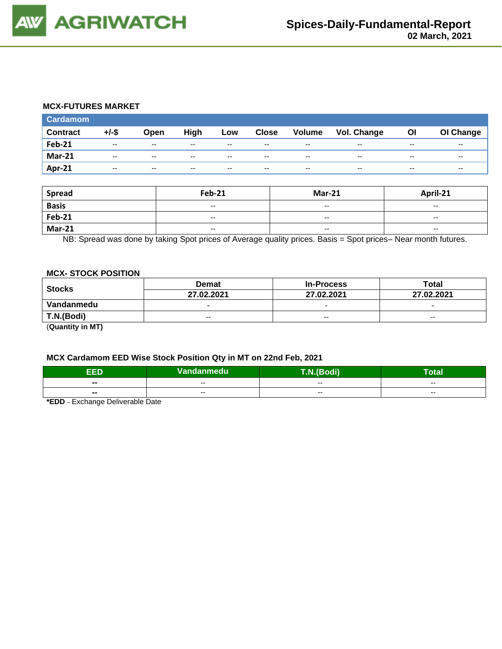#### **MCX-FUTURES MARKET**

| <b>Cardamom</b> |                          |               |       |       |              |                          |             |       |           |
|-----------------|--------------------------|---------------|-------|-------|--------------|--------------------------|-------------|-------|-----------|
| <b>Contract</b> | $+/-$ \$                 | Open          | High  | Low   | <b>Close</b> | <b>Volume</b>            | Vol. Change | Οl    | OI Change |
| <b>Feb-21</b>   | $- -$                    | $- -$         | $- -$ | $- -$ | $- -$        | $- -$                    | $- -$       | $- -$ | $- -$     |
| <b>Mar-21</b>   | $\overline{\phantom{a}}$ | $\sim$ $\sim$ | $- -$ | $-$   | $-$          | $\overline{\phantom{a}}$ | $- -$       | $- -$ | $- -$     |
| Apr-21          | $- -$                    | $- -$         | $- -$ | $- -$ | $- -$        | $- -$                    | $- -$       | $- -$ | $- -$     |

| <b>Spread</b> | <b>Feb-21</b>                                  | <b>Mar-21</b>            | April-21                 |
|---------------|------------------------------------------------|--------------------------|--------------------------|
| <b>Basis</b>  | $\overline{\phantom{a}}$                       | $\overline{\phantom{a}}$ | $\overline{\phantom{a}}$ |
| <b>Feb-21</b> | $\hspace{0.1mm}-\hspace{0.1mm}-\hspace{0.1mm}$ | $\overline{\phantom{a}}$ | $\overline{\phantom{a}}$ |
| <b>Mar-21</b> | $\overline{\phantom{a}}$                       | $\overline{\phantom{a}}$ | $\overline{\phantom{a}}$ |

NB: Spread was done by taking Spot prices of Average quality prices. Basis = Spot prices– Near month futures.

#### **MCX- STOCK POSITION**

| Stocks     | <b>Demat</b>             | <b>In-Process</b>        | Total                    |
|------------|--------------------------|--------------------------|--------------------------|
|            | 27.02.2021               | 27.02.2021               | 27.02.2021               |
| Vandanmedu | $\overline{\phantom{0}}$ | $\overline{\phantom{0}}$ | $\overline{\phantom{0}}$ |
| T.N.(Bodi) | $- -$                    | $-$                      | $\overline{\phantom{a}}$ |
| (n1N)      |                          |                          |                          |

(**Quantity in MT)**

#### **MCX Cardamom EED Wise Stock Position Qty in MT on 22nd Feb, 2021**

| EED            | Vandanmedu | T.N.(Bodi)<br>. | <b>Total</b> |  |  |  |  |
|----------------|------------|-----------------|--------------|--|--|--|--|
| $\blacksquare$ | $- -$      | $- -$           | $- -$        |  |  |  |  |
| $\blacksquare$ | $- -$      | $-$             | $-$          |  |  |  |  |
| - -<br>.       |            |                 |              |  |  |  |  |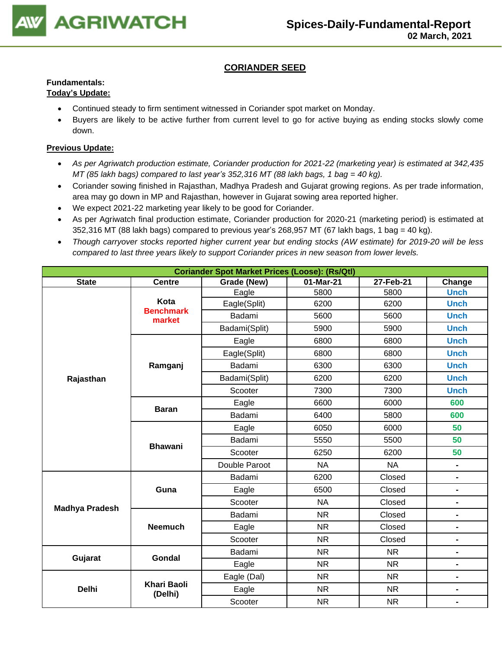

### **CORIANDER SEED**

## **Fundamentals:**

### **Today's Update:**

- Continued steady to firm sentiment witnessed in Coriander spot market on Monday.
- Buyers are likely to be active further from current level to go for active buying as ending stocks slowly come down.

- *As per Agriwatch production estimate, Coriander production for 2021-22 (marketing year) is estimated at 342,435 MT (85 lakh bags) compared to last year's 352,316 MT (88 lakh bags, 1 bag = 40 kg).*
- Coriander sowing finished in Rajasthan, Madhya Pradesh and Gujarat growing regions. As per trade information, area may go down in MP and Rajasthan, however in Gujarat sowing area reported higher.
- We expect 2021-22 marketing year likely to be good for Coriander.
- As per Agriwatch final production estimate, Coriander production for 2020-21 (marketing period) is estimated at 352,316 MT (88 lakh bags) compared to previous year's 268,957 MT (67 lakh bags, 1 bag = 40 kg).
- *Though carryover stocks reported higher current year but ending stocks (AW estimate) for 2019-20 will be less compared to last three years likely to support Coriander prices in new season from lower levels.*

| <b>Coriander Spot Market Prices (Loose): (Rs/Qtl)</b> |                               |               |           |           |                              |  |  |
|-------------------------------------------------------|-------------------------------|---------------|-----------|-----------|------------------------------|--|--|
| <b>State</b>                                          | <b>Centre</b>                 | Grade (New)   | 01-Mar-21 | 27-Feb-21 | Change                       |  |  |
|                                                       |                               | Eagle         | 5800      | 5800      | <b>Unch</b>                  |  |  |
|                                                       | Kota<br><b>Benchmark</b>      | Eagle(Split)  | 6200      | 6200      | <b>Unch</b>                  |  |  |
|                                                       | market                        | Badami        | 5600      | 5600      | <b>Unch</b>                  |  |  |
|                                                       |                               | Badami(Split) | 5900      | 5900      | <b>Unch</b>                  |  |  |
|                                                       |                               | Eagle         | 6800      | 6800      | <b>Unch</b>                  |  |  |
|                                                       |                               | Eagle(Split)  | 6800      | 6800      | <b>Unch</b>                  |  |  |
|                                                       | Ramganj                       | Badami        | 6300      | 6300      | <b>Unch</b>                  |  |  |
| Rajasthan                                             |                               | Badami(Split) | 6200      | 6200      | <b>Unch</b>                  |  |  |
|                                                       |                               | Scooter       | 7300      | 7300      | <b>Unch</b>                  |  |  |
|                                                       | <b>Baran</b>                  | Eagle         | 6600      | 6000      | 600                          |  |  |
|                                                       |                               | Badami        | 6400      | 5800      | 600                          |  |  |
|                                                       |                               | Eagle         | 6050      | 6000      | 50                           |  |  |
|                                                       | <b>Bhawani</b>                | Badami        | 5550      | 5500      | 50                           |  |  |
|                                                       |                               | Scooter       | 6250      | 6200      | 50                           |  |  |
|                                                       |                               | Double Paroot | <b>NA</b> | <b>NA</b> | $\blacksquare$               |  |  |
|                                                       |                               | Badami        | 6200      | Closed    | $\qquad \qquad \blacksquare$ |  |  |
|                                                       | Guna                          | Eagle         | 6500      | Closed    | $\blacksquare$               |  |  |
| <b>Madhya Pradesh</b>                                 |                               | Scooter       | <b>NA</b> | Closed    | $\blacksquare$               |  |  |
|                                                       |                               | Badami        | <b>NR</b> | Closed    | $\blacksquare$               |  |  |
|                                                       | <b>Neemuch</b>                | Eagle         | <b>NR</b> | Closed    | Ξ.                           |  |  |
|                                                       |                               | Scooter       | <b>NR</b> | Closed    | $\blacksquare$               |  |  |
|                                                       | <b>Gondal</b>                 | Badami        | <b>NR</b> | <b>NR</b> | $\blacksquare$               |  |  |
| Gujarat                                               |                               | Eagle         | <b>NR</b> | <b>NR</b> | $\blacksquare$               |  |  |
|                                                       |                               | Eagle (Dal)   | <b>NR</b> | <b>NR</b> | $\blacksquare$               |  |  |
| <b>Delhi</b>                                          | <b>Khari Baoli</b><br>(Delhi) | Eagle         | <b>NR</b> | <b>NR</b> | $\blacksquare$               |  |  |
|                                                       |                               | Scooter       | <b>NR</b> | <b>NR</b> | $\blacksquare$               |  |  |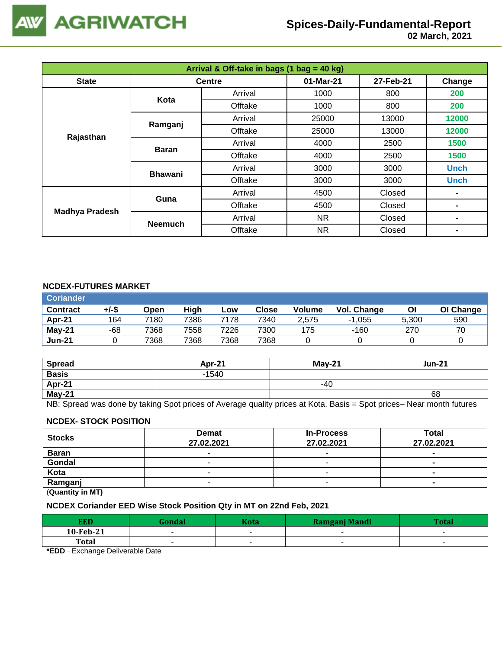

 **02 March, 2021**

| Arrival & Off-take in bags (1 bag = 40 kg) |                |               |           |           |             |  |  |
|--------------------------------------------|----------------|---------------|-----------|-----------|-------------|--|--|
| <b>State</b>                               |                | <b>Centre</b> | 01-Mar-21 | 27-Feb-21 | Change      |  |  |
|                                            | Kota           | Arrival       | 1000      | 800       | 200         |  |  |
|                                            |                | Offtake       | 1000      | 800       | 200         |  |  |
|                                            | Ramganj        | Arrival       | 25000     | 13000     | 12000       |  |  |
| Rajasthan                                  |                | Offtake       | 25000     | 13000     | 12000       |  |  |
|                                            | <b>Baran</b>   | Arrival       | 4000      | 2500      | 1500        |  |  |
|                                            |                | Offtake       | 4000      | 2500      | 1500        |  |  |
|                                            | <b>Bhawani</b> | Arrival       | 3000      | 3000      | <b>Unch</b> |  |  |
|                                            |                | Offtake       | 3000      | 3000      | <b>Unch</b> |  |  |
|                                            | Guna           | Arrival       | 4500      | Closed    |             |  |  |
| <b>Madhya Pradesh</b>                      |                | Offtake       | 4500      | Closed    | ۰           |  |  |
|                                            | <b>Neemuch</b> | Arrival       | NR.       | Closed    | ۰           |  |  |
|                                            |                | Offtake       | NR.       | Closed    | -           |  |  |

#### **NCDEX-FUTURES MARKET**

| <b>Coriander</b> |       |      |      |      |       |               |             |       |           |
|------------------|-------|------|------|------|-------|---------------|-------------|-------|-----------|
| <b>Contract</b>  | +/-\$ | Open | High | Low  | Close | <b>Volume</b> | Vol. Change | Οl    | OI Change |
| Apr-21           | 164   | 7180 | 7386 | 7178 | 7340  | 2,575         | $-1.055$    | 5.300 | 590       |
| May-21           | -68   | 7368 | 7558 | 7226 | 7300  | 175           | $-160$      | 270   | 70        |
| <b>Jun-21</b>    |       | 7368 | 7368 | 7368 | 7368  |               |             |       |           |

| <b>Spread</b> | <b>Apr-21</b> | $Mav-21$ | <b>Jun-21</b> |
|---------------|---------------|----------|---------------|
| <b>Basis</b>  | $-1540$       |          |               |
| Apr-21        |               | -40      |               |
| May-21        |               |          | 68            |

NB: Spread was done by taking Spot prices of Average quality prices at Kota. Basis = Spot prices– Near month futures

#### **NCDEX- STOCK POSITION**

| <b>Stocks</b> | <b>Demat</b> | <b>In-Process</b>        | Total          |  |  |  |
|---------------|--------------|--------------------------|----------------|--|--|--|
|               | 27.02.2021   | 27.02.2021               | 27.02.2021     |  |  |  |
| <b>Baran</b>  |              |                          | -              |  |  |  |
| Gondal        |              | $\overline{\phantom{a}}$ |                |  |  |  |
| Kota          |              |                          |                |  |  |  |
| Ramganj       |              | ٠                        | $\blacksquare$ |  |  |  |
| (n1N)         |              |                          |                |  |  |  |

(**Quantity in MT)**

### **NCDEX Coriander EED Wise Stock Position Qty in MT on 22nd Feb, 2021**

| <b>EED</b>   | <b>Condal</b> | Kota | Ramganj Mandi | <b>Total</b> |
|--------------|---------------|------|---------------|--------------|
| 10-Feb-21    |               |      |               |              |
| <b>Total</b> |               |      |               |              |
| $ -$         | .             |      |               |              |